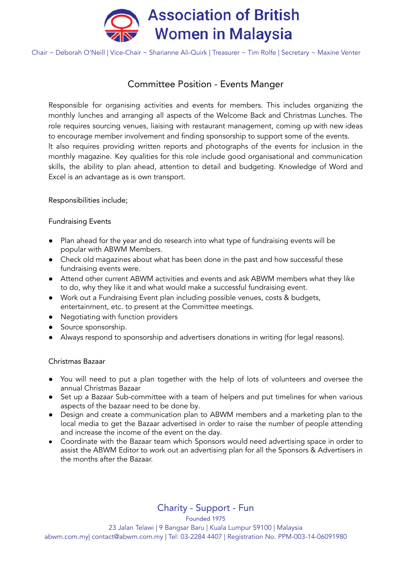

Chair ~ Deborah O'Neill | Vice-Chair ~ Sharianne Ali-Quirk | Treasurer ~ Tim Rolfe | Secretary ~ Maxine Venter

# Committee Position - Events Manger

Responsible for organising activities and events for members. This includes organizing the monthly lunches and arranging all aspects of the Welcome Back and Christmas Lunches. The role requires sourcing venues, liaising with restaurant management, coming up with new ideas to encourage member involvement and finding sponsorship to support some of the events. lt also requires providing written reports and photographs of the events for inclusion in the monthly magazine. Key qualities for this role include good organisational and communication skills, the ability to plan ahead, attention to detail and budgeting. Knowledge of Word and Excel is an advantage as is own transport.

Responsibilities include;

Fundraising Events

- Plan ahead for the year and do research into what type of fundraising events will be popular with ABWM Members.
- Check old magazines about what has been done in the past and how successful these fundraising events were.
- Attend other current ABWM activities and events and ask ABWM members what they like to do, why they like it and what would make a successful fundraising event.
- Work out a Fundraising Event plan including possible venues, costs & budgets, entertainment, etc. to present at the Committee meetings.
- Negotiating with function providers
- Source sponsorship.
- Always respond to sponsorship and advertisers donations in writing (for legal reasons).

### Christmas Bazaar

- You will need to put a plan together with the help of lots of volunteers and oversee the annual Christmas Bazaar
- Set up a Bazaar Sub-committee with a team of helpers and put timelines for when various aspects of the bazaar need to be done by.
- Design and create a communication plan to ABWM members and a marketing plan to the local media to get the Bazaar advertised in order to raise the number of people attending and increase the income of the event on the day.
- Coordinate with the Bazaar team which Sponsors would need advertising space in order to assist the ABWM Editor to work out an advertising plan for all the Sponsors & Advertisers in the months after the Bazaar.

Charity - Support - Fun

Founded 1975

23 Jalan Telawi | 9 Bangsar Baru | Kuala Lumpur 59100 | Malaysia abwm.com.my| contact@abwm.com.my | Tel: 03-2284 4407 | Registration No. PPM-003-14-06091980